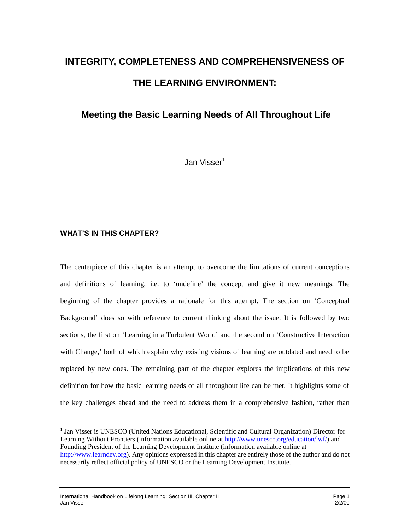# **INTEGRITY, COMPLETENESS AND COMPREHENSIVENESS OF THE LEARNING ENVIRONMENT:**

## **Meeting the Basic Learning Needs of All Throughout Life**

Jan Visser<sup>1</sup>

## **WHAT'S IN THIS CHAPTER?**

The centerpiece of this chapter is an attempt to overcome the limitations of current conceptions and definitions of learning, i.e. to 'undefine' the concept and give it new meanings. The beginning of the chapter provides a rationale for this attempt. The section on 'Conceptual Background' does so with reference to current thinking about the issue. It is followed by two sections, the first on 'Learning in a Turbulent World' and the second on 'Constructive Interaction with Change,' both of which explain why existing visions of learning are outdated and need to be replaced by new ones. The remaining part of the chapter explores the implications of this new definition for how the basic learning needs of all throughout life can be met. It highlights some of the key challenges ahead and the need to address them in a comprehensive fashion, rather than

 1 Jan Visser is UNESCO (United Nations Educational, Scientific and Cultural Organization) Director for Learning Without Frontiers (information available online at http://www.unesco.org/education/lwf/) and Founding President of the Learning Development Institute (information available online at http://www.learndev.org). Any opinions expressed in this chapter are entirely those of the author and do not necessarily reflect official policy of UNESCO or the Learning Development Institute.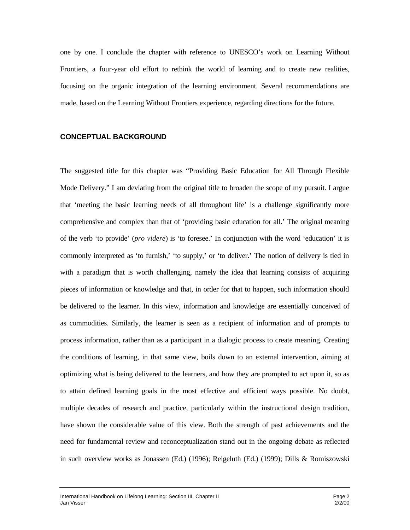one by one. I conclude the chapter with reference to UNESCO's work on Learning Without Frontiers, a four-year old effort to rethink the world of learning and to create new realities, focusing on the organic integration of the learning environment. Several recommendations are made, based on the Learning Without Frontiers experience, regarding directions for the future.

#### **CONCEPTUAL BACKGROUND**

The suggested title for this chapter was "Providing Basic Education for All Through Flexible Mode Delivery." I am deviating from the original title to broaden the scope of my pursuit. I argue that 'meeting the basic learning needs of all throughout life' is a challenge significantly more comprehensive and complex than that of 'providing basic education for all.' The original meaning of the verb 'to provide' (*pro videre*) is 'to foresee.' In conjunction with the word 'education' it is commonly interpreted as 'to furnish,' 'to supply,' or 'to deliver.' The notion of delivery is tied in with a paradigm that is worth challenging, namely the idea that learning consists of acquiring pieces of information or knowledge and that, in order for that to happen, such information should be delivered to the learner. In this view, information and knowledge are essentially conceived of as commodities. Similarly, the learner is seen as a recipient of information and of prompts to process information, rather than as a participant in a dialogic process to create meaning. Creating the conditions of learning, in that same view, boils down to an external intervention, aiming at optimizing what is being delivered to the learners, and how they are prompted to act upon it, so as to attain defined learning goals in the most effective and efficient ways possible. No doubt, multiple decades of research and practice, particularly within the instructional design tradition, have shown the considerable value of this view. Both the strength of past achievements and the need for fundamental review and reconceptualization stand out in the ongoing debate as reflected in such overview works as Jonassen (Ed.) (1996); Reigeluth (Ed.) (1999); Dills & Romiszowski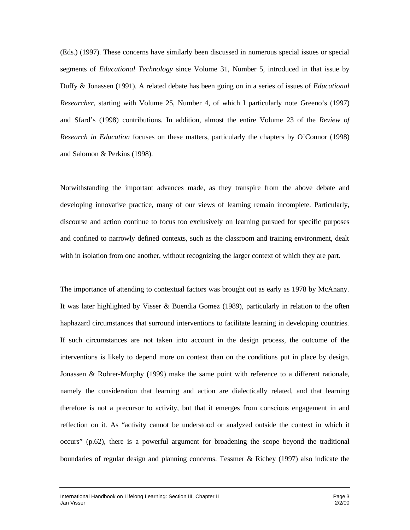(Eds.) (1997). These concerns have similarly been discussed in numerous special issues or special segments of *Educational Technology* since Volume 31, Number 5, introduced in that issue by Duffy & Jonassen (1991). A related debate has been going on in a series of issues of *Educational Researcher*, starting with Volume 25, Number 4, of which I particularly note Greeno's (1997) and Sfard's (1998) contributions. In addition, almost the entire Volume 23 of the *Review of Research in Education* focuses on these matters, particularly the chapters by O'Connor (1998) and Salomon & Perkins (1998).

Notwithstanding the important advances made, as they transpire from the above debate and developing innovative practice, many of our views of learning remain incomplete. Particularly, discourse and action continue to focus too exclusively on learning pursued for specific purposes and confined to narrowly defined contexts, such as the classroom and training environment, dealt with in isolation from one another, without recognizing the larger context of which they are part.

The importance of attending to contextual factors was brought out as early as 1978 by McAnany. It was later highlighted by Visser & Buendia Gomez (1989), particularly in relation to the often haphazard circumstances that surround interventions to facilitate learning in developing countries. If such circumstances are not taken into account in the design process, the outcome of the interventions is likely to depend more on context than on the conditions put in place by design. Jonassen & Rohrer-Murphy (1999) make the same point with reference to a different rationale, namely the consideration that learning and action are dialectically related, and that learning therefore is not a precursor to activity, but that it emerges from conscious engagement in and reflection on it. As "activity cannot be understood or analyzed outside the context in which it occurs" (p.62), there is a powerful argument for broadening the scope beyond the traditional boundaries of regular design and planning concerns. Tessmer & Richey (1997) also indicate the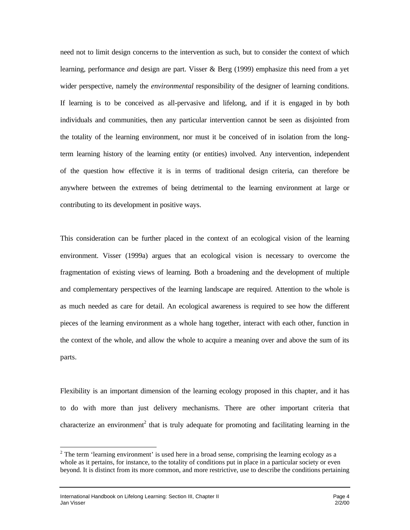need not to limit design concerns to the intervention as such, but to consider the context of which learning, performance *and* design are part. Visser & Berg (1999) emphasize this need from a yet wider perspective, namely the *environmental* responsibility of the designer of learning conditions. If learning is to be conceived as all-pervasive and lifelong, and if it is engaged in by both individuals and communities, then any particular intervention cannot be seen as disjointed from the totality of the learning environment, nor must it be conceived of in isolation from the longterm learning history of the learning entity (or entities) involved. Any intervention, independent of the question how effective it is in terms of traditional design criteria, can therefore be anywhere between the extremes of being detrimental to the learning environment at large or contributing to its development in positive ways.

This consideration can be further placed in the context of an ecological vision of the learning environment. Visser (1999a) argues that an ecological vision is necessary to overcome the fragmentation of existing views of learning. Both a broadening and the development of multiple and complementary perspectives of the learning landscape are required. Attention to the whole is as much needed as care for detail. An ecological awareness is required to see how the different pieces of the learning environment as a whole hang together, interact with each other, function in the context of the whole, and allow the whole to acquire a meaning over and above the sum of its parts.

Flexibility is an important dimension of the learning ecology proposed in this chapter, and it has to do with more than just delivery mechanisms. There are other important criteria that characterize an environment<sup>2</sup> that is truly adequate for promoting and facilitating learning in the

<sup>&</sup>lt;sup>2</sup> The term 'learning environment' is used here in a broad sense, comprising the learning ecology as a whole as it pertains, for instance, to the totality of conditions put in place in a particular society or even beyond. It is distinct from its more common, and more restrictive, use to describe the conditions pertaining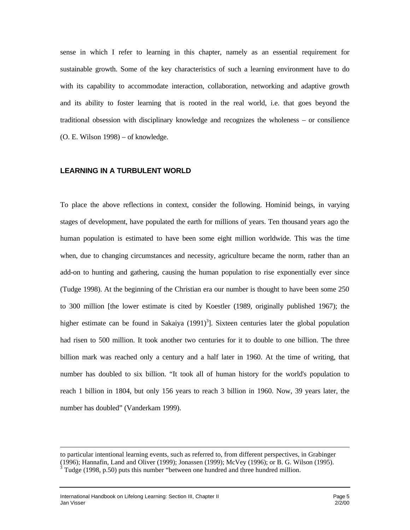sense in which I refer to learning in this chapter, namely as an essential requirement for sustainable growth. Some of the key characteristics of such a learning environment have to do with its capability to accommodate interaction, collaboration, networking and adaptive growth and its ability to foster learning that is rooted in the real world, i.e. that goes beyond the traditional obsession with disciplinary knowledge and recognizes the wholeness – or consilience (O. E. Wilson 1998) – of knowledge.

## **LEARNING IN A TURBULENT WORLD**

To place the above reflections in context, consider the following. Hominid beings, in varying stages of development, have populated the earth for millions of years. Ten thousand years ago the human population is estimated to have been some eight million worldwide. This was the time when, due to changing circumstances and necessity, agriculture became the norm, rather than an add-on to hunting and gathering, causing the human population to rise exponentially ever since (Tudge 1998). At the beginning of the Christian era our number is thought to have been some 250 to 300 million [the lower estimate is cited by Koestler (1989, originally published 1967); the higher estimate can be found in Sakaiya  $(1991)^3$ ]. Sixteen centuries later the global population had risen to 500 million. It took another two centuries for it to double to one billion. The three billion mark was reached only a century and a half later in 1960. At the time of writing, that number has doubled to six billion. "It took all of human history for the world's population to reach 1 billion in 1804, but only 156 years to reach 3 billion in 1960. Now, 39 years later, the number has doubled" (Vanderkam 1999).

<u>.</u>

to particular intentional learning events, such as referred to, from different perspectives, in Grabinger (1996); Hannafin, Land and Oliver (1999); Jonassen (1999); McVey (1996); or B. G. Wilson (1995).  $3$  Tudge (1998, p.50) puts this number "between one hundred and three hundred million.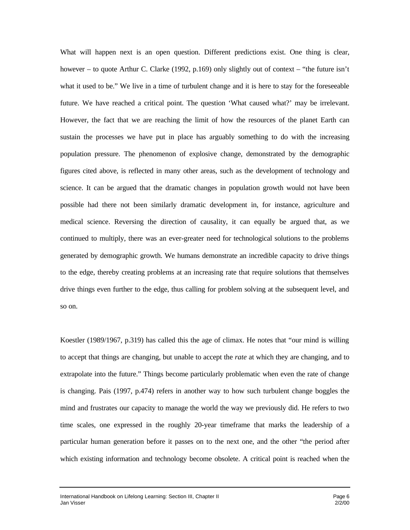What will happen next is an open question. Different predictions exist. One thing is clear, however – to quote Arthur C. Clarke (1992, p.169) only slightly out of context – "the future isn't what it used to be." We live in a time of turbulent change and it is here to stay for the foreseeable future. We have reached a critical point. The question 'What caused what?' may be irrelevant. However, the fact that we are reaching the limit of how the resources of the planet Earth can sustain the processes we have put in place has arguably something to do with the increasing population pressure. The phenomenon of explosive change, demonstrated by the demographic figures cited above, is reflected in many other areas, such as the development of technology and science. It can be argued that the dramatic changes in population growth would not have been possible had there not been similarly dramatic development in, for instance, agriculture and medical science. Reversing the direction of causality, it can equally be argued that, as we continued to multiply, there was an ever-greater need for technological solutions to the problems generated by demographic growth. We humans demonstrate an incredible capacity to drive things to the edge, thereby creating problems at an increasing rate that require solutions that themselves drive things even further to the edge, thus calling for problem solving at the subsequent level, and so on.

Koestler (1989/1967, p.319) has called this the age of climax. He notes that "our mind is willing to accept that things are changing, but unable to accept the *rate* at which they are changing, and to extrapolate into the future." Things become particularly problematic when even the rate of change is changing. Pais (1997, p.474) refers in another way to how such turbulent change boggles the mind and frustrates our capacity to manage the world the way we previously did. He refers to two time scales, one expressed in the roughly 20-year timeframe that marks the leadership of a particular human generation before it passes on to the next one, and the other "the period after which existing information and technology become obsolete. A critical point is reached when the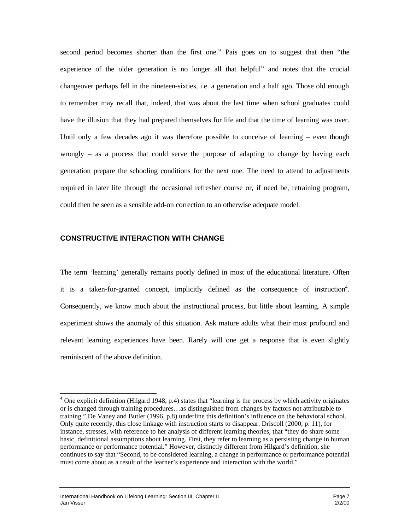second period becomes shorter than the first one." Pais goes on to suggest that then "the experience of the older generation is no longer all that helpful" and notes that the crucial changeover perhaps fell in the nineteen-sixties, i.e. a generation and a half ago. Those old enough to remember may recall that, indeed, that was about the last time when school graduates could have the illusion that they had prepared themselves for life and that the time of learning was over. Until only a few decades ago it was therefore possible to conceive of learning – even though wrongly – as a process that could serve the purpose of adapting to change by having each generation prepare the schooling conditions for the next one. The need to attend to adjustments required in later life through the occasional refresher course or, if need be, retraining program, could then be seen as a sensible add-on correction to an otherwise adequate model.

## **CONSTRUCTIVE INTERACTION WITH CHANGE**

The term 'learning' generally remains poorly defined in most of the educational literature. Often it is a taken-for-granted concept, implicitly defined as the consequence of instruction<sup>4</sup>. Consequently, we know much about the instructional process, but little about learning. A simple experiment shows the anomaly of this situation. Ask mature adults what their most profound and relevant learning experiences have been. Rarely will one get a response that is even slightly reminiscent of the above definition.

 $\overline{a}$ 

<sup>&</sup>lt;sup>4</sup> One explicit definition (Hilgard 1948, p.4) states that "learning is the process by which activity originates or is changed through training procedures…as distinguished from changes by factors not attributable to training." De Vaney and Butler (1996, p.8) underline this definition's influence on the behavioral school. Only quite recently, this close linkage with instruction starts to disappear. Driscoll (2000, p. 11), for instance, stresses, with reference to her analysis of different learning theories, that "they do share some basic, definitional assumptions about learning. First, they refer to learning as a persisting change in human performance or performance potential." However, distinctly different from Hilgard's definition, she continues to say that "Second, to be considered learning, a change in performance or performance potential must come about as a result of the learner's experience and interaction with the world."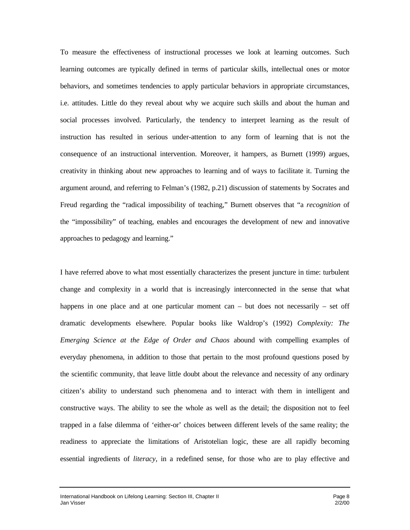To measure the effectiveness of instructional processes we look at learning outcomes. Such learning outcomes are typically defined in terms of particular skills, intellectual ones or motor behaviors, and sometimes tendencies to apply particular behaviors in appropriate circumstances, i.e. attitudes. Little do they reveal about why we acquire such skills and about the human and social processes involved. Particularly, the tendency to interpret learning as the result of instruction has resulted in serious under-attention to any form of learning that is not the consequence of an instructional intervention. Moreover, it hampers, as Burnett (1999) argues, creativity in thinking about new approaches to learning and of ways to facilitate it. Turning the argument around, and referring to Felman's (1982, p.21) discussion of statements by Socrates and Freud regarding the "radical impossibility of teaching," Burnett observes that "a *recognition* of the "impossibility" of teaching, enables and encourages the development of new and innovative approaches to pedagogy and learning."

I have referred above to what most essentially characterizes the present juncture in time: turbulent change and complexity in a world that is increasingly interconnected in the sense that what happens in one place and at one particular moment can – but does not necessarily – set off dramatic developments elsewhere. Popular books like Waldrop's (1992) *Complexity: The Emerging Science at the Edge of Order and Chaos* abound with compelling examples of everyday phenomena, in addition to those that pertain to the most profound questions posed by the scientific community, that leave little doubt about the relevance and necessity of any ordinary citizen's ability to understand such phenomena and to interact with them in intelligent and constructive ways. The ability to see the whole as well as the detail; the disposition not to feel trapped in a false dilemma of 'either-or' choices between different levels of the same reality; the readiness to appreciate the limitations of Aristotelian logic, these are all rapidly becoming essential ingredients of *literacy*, in a redefined sense, for those who are to play effective and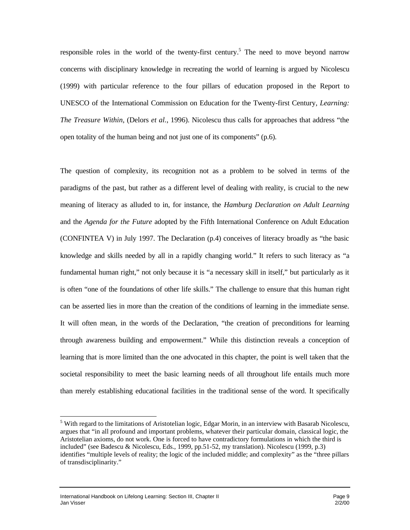responsible roles in the world of the twenty-first century.<sup>5</sup> The need to move beyond narrow concerns with disciplinary knowledge in recreating the world of learning is argued by Nicolescu (1999) with particular reference to the four pillars of education proposed in the Report to UNESCO of the International Commission on Education for the Twenty-first Century, *Learning: The Treasure Within*, (Delors *et al.*, 1996). Nicolescu thus calls for approaches that address "the open totality of the human being and not just one of its components" (p.6).

The question of complexity, its recognition not as a problem to be solved in terms of the paradigms of the past, but rather as a different level of dealing with reality, is crucial to the new meaning of literacy as alluded to in, for instance, the *Hamburg Declaration on Adult Learning* and the *Agenda for the Future* adopted by the Fifth International Conference on Adult Education (CONFINTEA V) in July 1997. The Declaration (p.4) conceives of literacy broadly as "the basic knowledge and skills needed by all in a rapidly changing world." It refers to such literacy as "a fundamental human right," not only because it is "a necessary skill in itself," but particularly as it is often "one of the foundations of other life skills." The challenge to ensure that this human right can be asserted lies in more than the creation of the conditions of learning in the immediate sense. It will often mean, in the words of the Declaration, "the creation of preconditions for learning through awareness building and empowerment." While this distinction reveals a conception of learning that is more limited than the one advocated in this chapter, the point is well taken that the societal responsibility to meet the basic learning needs of all throughout life entails much more than merely establishing educational facilities in the traditional sense of the word. It specifically

-

<sup>&</sup>lt;sup>5</sup> With regard to the limitations of Aristotelian logic, Edgar Morin, in an interview with Basarab Nicolescu, argues that "in all profound and important problems, whatever their particular domain, classical logic, the Aristotelian axioms, do not work. One is forced to have contradictory formulations in which the third is included" (see Badescu & Nicolescu, Eds., 1999, pp.51-52, my translation). Nicolescu (1999, p.3) identifies "multiple levels of reality; the logic of the included middle; and complexity" as the "three pillars of transdisciplinarity."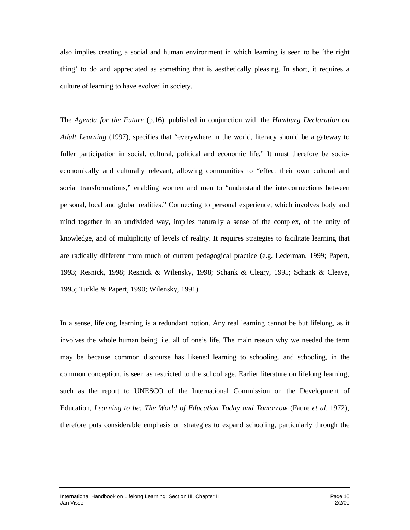also implies creating a social and human environment in which learning is seen to be 'the right thing' to do and appreciated as something that is aesthetically pleasing. In short, it requires a culture of learning to have evolved in society.

The *Agenda for the Future* (p.16), published in conjunction with the *Hamburg Declaration on Adult Learning* (1997), specifies that "everywhere in the world, literacy should be a gateway to fuller participation in social, cultural, political and economic life." It must therefore be socioeconomically and culturally relevant, allowing communities to "effect their own cultural and social transformations," enabling women and men to "understand the interconnections between personal, local and global realities." Connecting to personal experience, which involves body and mind together in an undivided way, implies naturally a sense of the complex, of the unity of knowledge, and of multiplicity of levels of reality. It requires strategies to facilitate learning that are radically different from much of current pedagogical practice (e.g. Lederman, 1999; Papert, 1993; Resnick, 1998; Resnick & Wilensky, 1998; Schank & Cleary, 1995; Schank & Cleave, 1995; Turkle & Papert, 1990; Wilensky, 1991).

In a sense, lifelong learning is a redundant notion. Any real learning cannot be but lifelong, as it involves the whole human being, i.e. all of one's life. The main reason why we needed the term may be because common discourse has likened learning to schooling, and schooling, in the common conception, is seen as restricted to the school age. Earlier literature on lifelong learning, such as the report to UNESCO of the International Commission on the Development of Education, *Learning to be: The World of Education Today and Tomorrow* (Faure *et al*. 1972), therefore puts considerable emphasis on strategies to expand schooling, particularly through the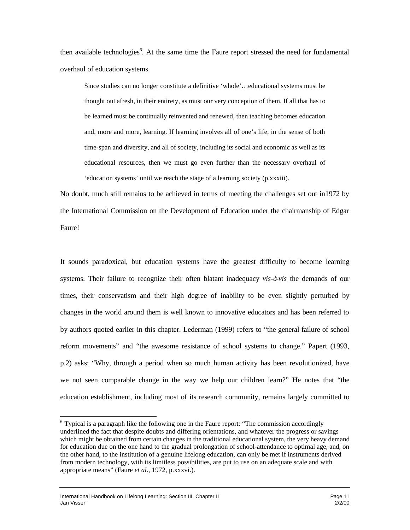then available technologies<sup>6</sup>. At the same time the Faure report stressed the need for fundamental overhaul of education systems.

Since studies can no longer constitute a definitive 'whole'…educational systems must be thought out afresh, in their entirety, as must our very conception of them. If all that has to be learned must be continually reinvented and renewed, then teaching becomes education and, more and more, learning. If learning involves all of one's life, in the sense of both time-span and diversity, and all of society, including its social and economic as well as its educational resources, then we must go even further than the necessary overhaul of 'education systems' until we reach the stage of a learning society (p.xxxiii).

No doubt, much still remains to be achieved in terms of meeting the challenges set out in1972 by the International Commission on the Development of Education under the chairmanship of Edgar Faure!

It sounds paradoxical, but education systems have the greatest difficulty to become learning systems. Their failure to recognize their often blatant inadequacy *vis-à-vis* the demands of our times, their conservatism and their high degree of inability to be even slightly perturbed by changes in the world around them is well known to innovative educators and has been referred to by authors quoted earlier in this chapter. Lederman (1999) refers to "the general failure of school reform movements" and "the awesome resistance of school systems to change." Papert (1993, p.2) asks: "Why, through a period when so much human activity has been revolutionized, have we not seen comparable change in the way we help our children learn?" He notes that "the education establishment, including most of its research community, remains largely committed to

 $\overline{a}$ 

<sup>&</sup>lt;sup>6</sup> Typical is a paragraph like the following one in the Faure report: "The commission accordingly underlined the fact that despite doubts and differing orientations, and whatever the progress or savings which might be obtained from certain changes in the traditional educational system, the very heavy demand for education due on the one hand to the gradual prolongation of school-attendance to optimal age, and, on the other hand, to the institution of a genuine lifelong education, can only be met if instruments derived from modern technology, with its limitless possibilities, are put to use on an adequate scale and with appropriate means" (Faure *et al*., 1972, p.xxxvi.).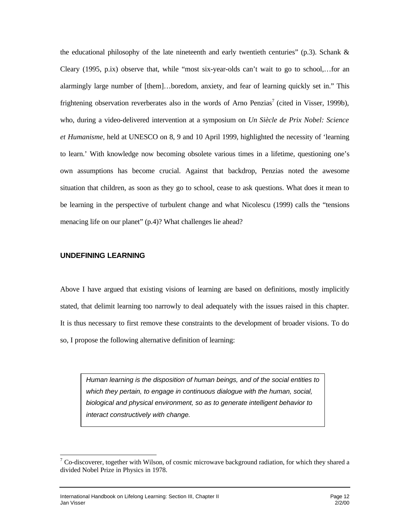the educational philosophy of the late nineteenth and early twentieth centuries" (p.3). Schank  $\&$ Cleary (1995, p.ix) observe that, while "most six-year-olds can't wait to go to school,…for an alarmingly large number of [them]…boredom, anxiety, and fear of learning quickly set in." This frightening observation reverberates also in the words of Arno Penzias<sup>7</sup> (cited in Visser, 1999b), who, during a video-delivered intervention at a symposium on *Un Siècle de Prix Nobel: Science et Humanisme*, held at UNESCO on 8, 9 and 10 April 1999, highlighted the necessity of 'learning to learn.' With knowledge now becoming obsolete various times in a lifetime, questioning one's own assumptions has become crucial. Against that backdrop, Penzias noted the awesome situation that children, as soon as they go to school, cease to ask questions. What does it mean to be learning in the perspective of turbulent change and what Nicolescu (1999) calls the "tensions menacing life on our planet" (p.4)? What challenges lie ahead?

#### **UNDEFINING LEARNING**

Above I have argued that existing visions of learning are based on definitions, mostly implicitly stated, that delimit learning too narrowly to deal adequately with the issues raised in this chapter. It is thus necessary to first remove these constraints to the development of broader visions. To do so, I propose the following alternative definition of learning:

*Human learning is the disposition of human beings, and of the social entities to which they pertain, to engage in continuous dialogue with the human, social, biological and physical environment, so as to generate intelligent behavior to interact constructively with change.*

 $\overline{a}$  $7$  Co-discoverer, together with Wilson, of cosmic microwave background radiation, for which they shared a divided Nobel Prize in Physics in 1978.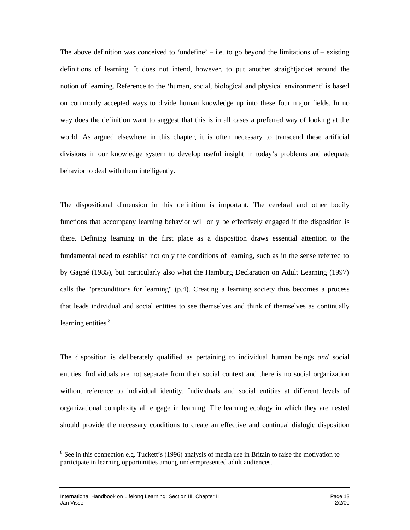The above definition was conceived to 'undefine'  $-$  i.e. to go beyond the limitations of  $-$  existing definitions of learning. It does not intend, however, to put another straightjacket around the notion of learning. Reference to the 'human, social, biological and physical environment' is based on commonly accepted ways to divide human knowledge up into these four major fields. In no way does the definition want to suggest that this is in all cases a preferred way of looking at the world. As argued elsewhere in this chapter, it is often necessary to transcend these artificial divisions in our knowledge system to develop useful insight in today's problems and adequate behavior to deal with them intelligently.

The dispositional dimension in this definition is important. The cerebral and other bodily functions that accompany learning behavior will only be effectively engaged if the disposition is there. Defining learning in the first place as a disposition draws essential attention to the fundamental need to establish not only the conditions of learning, such as in the sense referred to by Gagné (1985), but particularly also what the Hamburg Declaration on Adult Learning (1997) calls the "preconditions for learning" (p.4). Creating a learning society thus becomes a process that leads individual and social entities to see themselves and think of themselves as continually learning entities.<sup>8</sup>

The disposition is deliberately qualified as pertaining to individual human beings *and* social entities. Individuals are not separate from their social context and there is no social organization without reference to individual identity. Individuals and social entities at different levels of organizational complexity all engage in learning. The learning ecology in which they are nested should provide the necessary conditions to create an effective and continual dialogic disposition

<sup>&</sup>lt;sup>8</sup> See in this connection e.g. Tuckett's (1996) analysis of media use in Britain to raise the motivation to <sup>8</sup> participate in learning opportunities among underrepresented adult audiences.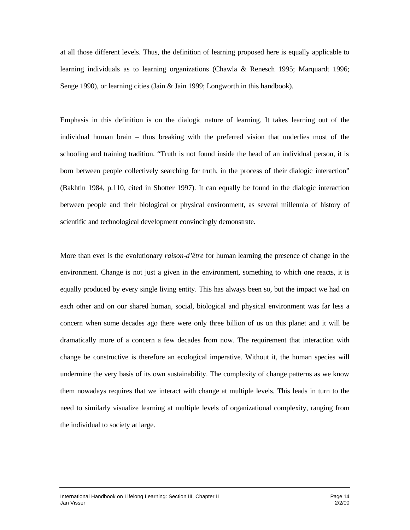at all those different levels. Thus, the definition of learning proposed here is equally applicable to learning individuals as to learning organizations (Chawla & Renesch 1995; Marquardt 1996; Senge 1990), or learning cities (Jain & Jain 1999; Longworth in this handbook).

Emphasis in this definition is on the dialogic nature of learning. It takes learning out of the individual human brain – thus breaking with the preferred vision that underlies most of the schooling and training tradition. "Truth is not found inside the head of an individual person, it is born between people collectively searching for truth, in the process of their dialogic interaction" (Bakhtin 1984, p.110, cited in Shotter 1997). It can equally be found in the dialogic interaction between people and their biological or physical environment, as several millennia of history of scientific and technological development convincingly demonstrate.

More than ever is the evolutionary *raison-d'être* for human learning the presence of change in the environment. Change is not just a given in the environment, something to which one reacts, it is equally produced by every single living entity. This has always been so, but the impact we had on each other and on our shared human, social, biological and physical environment was far less a concern when some decades ago there were only three billion of us on this planet and it will be dramatically more of a concern a few decades from now. The requirement that interaction with change be constructive is therefore an ecological imperative. Without it, the human species will undermine the very basis of its own sustainability. The complexity of change patterns as we know them nowadays requires that we interact with change at multiple levels. This leads in turn to the need to similarly visualize learning at multiple levels of organizational complexity, ranging from the individual to society at large.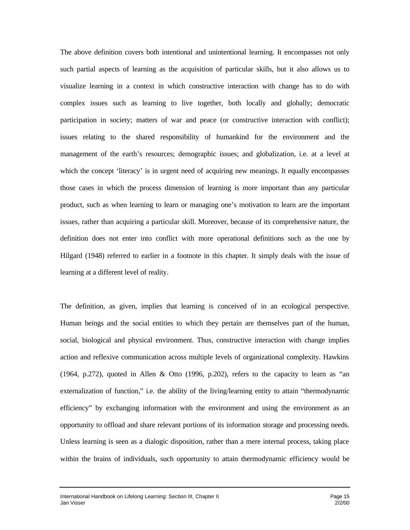The above definition covers both intentional and unintentional learning. It encompasses not only such partial aspects of learning as the acquisition of particular skills, but it also allows us to visualize learning in a context in which constructive interaction with change has to do with complex issues such as learning to live together, both locally and globally; democratic participation in society; matters of war and peace (or constructive interaction with conflict); issues relating to the shared responsibility of humankind for the environment and the management of the earth's resources; demographic issues; and globalization, i.e. at a level at which the concept 'literacy' is in urgent need of acquiring new meanings. It equally encompasses those cases in which the process dimension of learning is more important than any particular product, such as when learning to learn or managing one's motivation to learn are the important issues, rather than acquiring a particular skill. Moreover, because of its comprehensive nature, the definition does not enter into conflict with more operational definitions such as the one by Hilgard (1948) referred to earlier in a footnote in this chapter. It simply deals with the issue of learning at a different level of reality.

The definition, as given, implies that learning is conceived of in an ecological perspective. Human beings and the social entities to which they pertain are themselves part of the human, social, biological and physical environment. Thus, constructive interaction with change implies action and reflexive communication across multiple levels of organizational complexity. Hawkins (1964, p.272), quoted in Allen & Otto (1996, p.202), refers to the capacity to learn as "an externalization of function," i.e. the ability of the living/learning entity to attain "thermodynamic efficiency" by exchanging information with the environment and using the environment as an opportunity to offload and share relevant portions of its information storage and processing needs. Unless learning is seen as a dialogic disposition, rather than a mere internal process, taking place within the brains of individuals, such opportunity to attain thermodynamic efficiency would be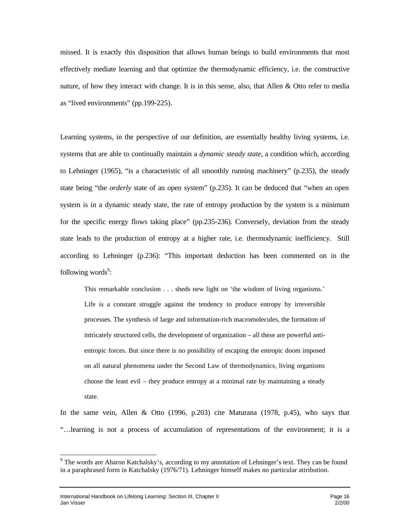missed. It is exactly this disposition that allows human beings to build environments that most effectively mediate learning and that optimize the thermodynamic efficiency, i.e. the constructive nature, of how they interact with change. It is in this sense, also, that Allen & Otto refer to media as "lived environments" (pp.199-225).

Learning systems, in the perspective of our definition, are essentially healthy living systems, i.e. systems that are able to continually maintain a *dynamic steady state*, a condition which, according to Lehninger (1965), "is a characteristic of all smoothly running machinery" (p.235), the steady state being "the *orderly* state of an open system" (p.235). It can be deduced that "when an open system is in a dynamic steady state, the rate of entropy production by the system is a minimum for the specific energy flows taking place" (pp.235-236). Conversely, deviation from the steady state leads to the production of entropy at a higher rate, i.e. thermodynamic inefficiency. Still according to Lehninger (p.236): "This important deduction has been commented on in the following words<sup>9</sup>:

This remarkable conclusion . . . sheds new light on 'the wisdom of living organisms.' Life is a constant struggle against the tendency to produce entropy by irreversible processes. The synthesis of large and information-rich macromolecules, the formation of intricately structured cells, the development of organization – all these are powerful antientropic forces. But since there is no possibility of escaping the entropic doom imposed on all natural phenomena under the Second Law of thermodynamics, living organisms choose the least evil – they produce entropy at a minimal rate by maintaining a steady state.

In the same vein, Allen & Otto (1996, p.203) cite Maturana (1978, p.45), who says that "…learning is not a process of accumulation of representations of the environment; it is a

 $\overline{a}$ 

<sup>&</sup>lt;sup>9</sup> The words are Aharon Katchalsky's, according to my annotation of Lehninger's text. They can be found in a paraphrased form in Katchalsky (1976/71). Lehninger himself makes no particular attribution.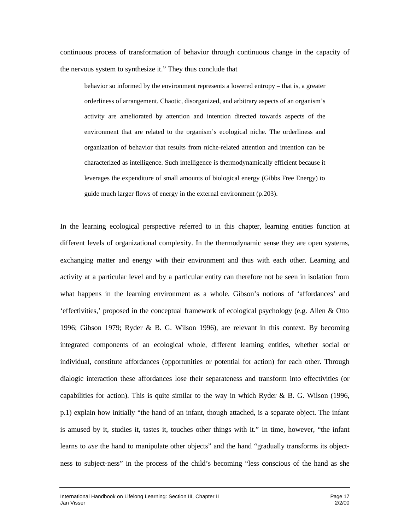continuous process of transformation of behavior through continuous change in the capacity of the nervous system to synthesize it." They thus conclude that

behavior so informed by the environment represents a lowered entropy – that is, a greater orderliness of arrangement. Chaotic, disorganized, and arbitrary aspects of an organism's activity are ameliorated by attention and intention directed towards aspects of the environment that are related to the organism's ecological niche. The orderliness and organization of behavior that results from niche-related attention and intention can be characterized as intelligence. Such intelligence is thermodynamically efficient because it leverages the expenditure of small amounts of biological energy (Gibbs Free Energy) to guide much larger flows of energy in the external environment (p.203).

In the learning ecological perspective referred to in this chapter, learning entities function at different levels of organizational complexity. In the thermodynamic sense they are open systems, exchanging matter and energy with their environment and thus with each other. Learning and activity at a particular level and by a particular entity can therefore not be seen in isolation from what happens in the learning environment as a whole. Gibson's notions of 'affordances' and 'effectivities,' proposed in the conceptual framework of ecological psychology (e.g. Allen & Otto 1996; Gibson 1979; Ryder & B. G. Wilson 1996), are relevant in this context. By becoming integrated components of an ecological whole, different learning entities, whether social or individual, constitute affordances (opportunities or potential for action) for each other. Through dialogic interaction these affordances lose their separateness and transform into effectivities (or capabilities for action). This is quite similar to the way in which Ryder  $\&$  B. G. Wilson (1996, p.1) explain how initially "the hand of an infant, though attached, is a separate object. The infant is amused by it, studies it, tastes it, touches other things with it." In time, however, "the infant learns to *use* the hand to manipulate other objects" and the hand "gradually transforms its objectness to subject-ness" in the process of the child's becoming "less conscious of the hand as she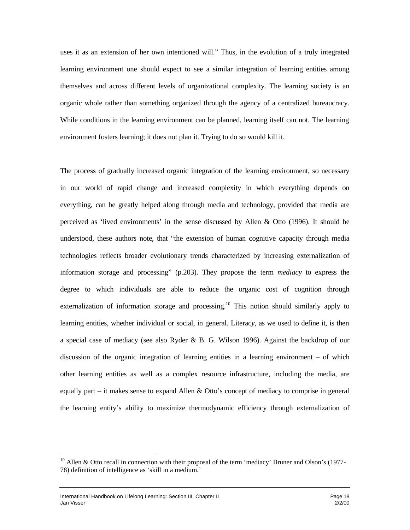uses it as an extension of her own intentioned will." Thus, in the evolution of a truly integrated learning environment one should expect to see a similar integration of learning entities among themselves and across different levels of organizational complexity. The learning society is an organic whole rather than something organized through the agency of a centralized bureaucracy. While conditions in the learning environment can be planned, learning itself can not. The learning environment fosters learning; it does not plan it. Trying to do so would kill it.

The process of gradually increased organic integration of the learning environment, so necessary in our world of rapid change and increased complexity in which everything depends on everything, can be greatly helped along through media and technology, provided that media are perceived as 'lived environments' in the sense discussed by Allen & Otto (1996). It should be understood, these authors note, that "the extension of human cognitive capacity through media technologies reflects broader evolutionary trends characterized by increasing externalization of information storage and processing" (p.203). They propose the term *mediacy* to express the degree to which individuals are able to reduce the organic cost of cognition through externalization of information storage and processing.<sup>10</sup> This notion should similarly apply to learning entities, whether individual or social, in general. Literac*y*, as we used to define it, is then a special case of mediacy (see also Ryder & B. G. Wilson 1996). Against the backdrop of our discussion of the organic integration of learning entities in a learning environment – of which other learning entities as well as a complex resource infrastructure, including the media, are equally part – it makes sense to expand Allen & Otto's concept of mediacy to comprise in general the learning entity's ability to maximize thermodynamic efficiency through externalization of

 $\overline{a}$ <sup>10</sup> Allen & Otto recall in connection with their proposal of the term 'mediacy' Bruner and Olson's (1977-78) definition of intelligence as 'skill in a medium.'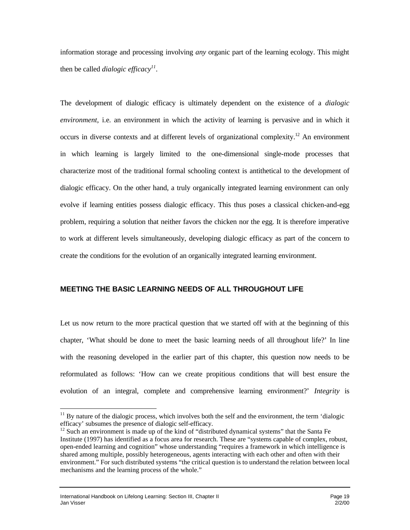information storage and processing involving *any* organic part of the learning ecology. This might then be called *dialogic efficacy<sup>11</sup>* .

The development of dialogic efficacy is ultimately dependent on the existence of a *dialogic environment*, i.e. an environment in which the activity of learning is pervasive and in which it occurs in diverse contexts and at different levels of organizational complexity.<sup>12</sup> An environment in which learning is largely limited to the one-dimensional single-mode processes that characterize most of the traditional formal schooling context is antithetical to the development of dialogic efficacy. On the other hand, a truly organically integrated learning environment can only evolve if learning entities possess dialogic efficacy. This thus poses a classical chicken-and-egg problem, requiring a solution that neither favors the chicken nor the egg. It is therefore imperative to work at different levels simultaneously, developing dialogic efficacy as part of the concern to create the conditions for the evolution of an organically integrated learning environment.

## **MEETING THE BASIC LEARNING NEEDS OF ALL THROUGHOUT LIFE**

Let us now return to the more practical question that we started off with at the beginning of this chapter, 'What should be done to meet the basic learning needs of all throughout life?' In line with the reasoning developed in the earlier part of this chapter, this question now needs to be reformulated as follows: 'How can we create propitious conditions that will best ensure the evolution of an integral, complete and comprehensive learning environment?' *Integrity* is

 $\overline{a}$ 

 $11$  By nature of the dialogic process, which involves both the self and the environment, the term 'dialogic efficacy' subsumes the presence of dialogic self-efficacy.

<sup>&</sup>lt;sup>12</sup> Such an environment is made up of the kind of "distributed dynamical systems" that the Santa Fe Institute (1997) has identified as a focus area for research. These are "systems capable of complex, robust, open-ended learning and cognition" whose understanding "requires a framework in which intelligence is shared among multiple, possibly heterogeneous, agents interacting with each other and often with their environment." For such distributed systems "the critical question is to understand the relation between local mechanisms and the learning process of the whole."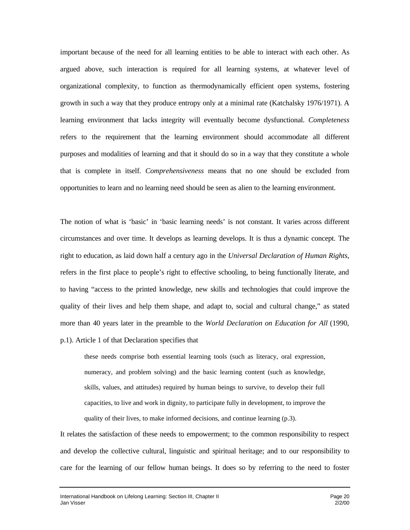important because of the need for all learning entities to be able to interact with each other. As argued above, such interaction is required for all learning systems, at whatever level of organizational complexity, to function as thermodynamically efficient open systems, fostering growth in such a way that they produce entropy only at a minimal rate (Katchalsky 1976/1971). A learning environment that lacks integrity will eventually become dysfunctional. *Completeness* refers to the requirement that the learning environment should accommodate all different purposes and modalities of learning and that it should do so in a way that they constitute a whole that is complete in itself. *Comprehensiveness* means that no one should be excluded from opportunities to learn and no learning need should be seen as alien to the learning environment.

The notion of what is 'basic' in 'basic learning needs' is not constant. It varies across different circumstances and over time. It develops as learning develops. It is thus a dynamic concept. The right to education, as laid down half a century ago in the *Universal Declaration of Human Rights*, refers in the first place to people's right to effective schooling, to being functionally literate, and to having "access to the printed knowledge, new skills and technologies that could improve the quality of their lives and help them shape, and adapt to, social and cultural change," as stated more than 40 years later in the preamble to the *World Declaration on Education for All* (1990, p.1). Article 1 of that Declaration specifies that

these needs comprise both essential learning tools (such as literacy, oral expression, numeracy, and problem solving) and the basic learning content (such as knowledge, skills, values, and attitudes) required by human beings to survive, to develop their full capacities, to live and work in dignity, to participate fully in development, to improve the quality of their lives, to make informed decisions, and continue learning (p.3).

It relates the satisfaction of these needs to empowerment; to the common responsibility to respect and develop the collective cultural, linguistic and spiritual heritage; and to our responsibility to care for the learning of our fellow human beings. It does so by referring to the need to foster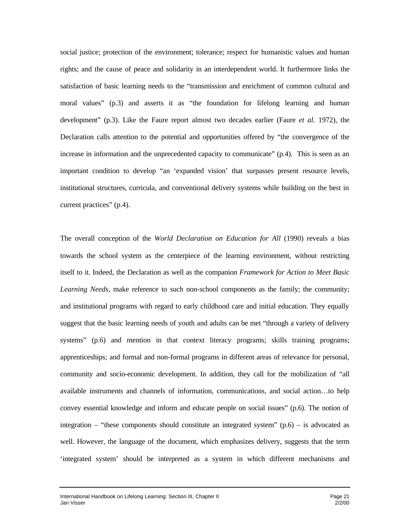social justice; protection of the environment; tolerance; respect for humanistic values and human rights; and the cause of peace and solidarity in an interdependent world. It furthermore links the satisfaction of basic learning needs to the "transmission and enrichment of common cultural and moral values" (p.3) and asserts it as "the foundation for lifelong learning and human development" (p.3). Like the Faure report almost two decades earlier (Faure *et al.* 1972), the Declaration calls attention to the potential and opportunities offered by "the convergence of the increase in information and the unprecedented capacity to communicate" (p.4). This is seen as an important condition to develop "an 'expanded vision' that surpasses present resource levels, institutional structures, curricula, and conventional delivery systems while building on the best in current practices" (p.4).

The overall conception of the *World Declaration on Education for All* (1990) reveals a bias towards the school system as the centerpiece of the learning environment, without restricting itself to it. Indeed, the Declaration as well as the companion *Framework for Action to Meet Basic Learning Needs*, make reference to such non-school components as the family; the community; and institutional programs with regard to early childhood care and initial education. They equally suggest that the basic learning needs of youth and adults can be met "through a variety of delivery systems" (p.6) and mention in that context literacy programs; skills training programs; apprenticeships; and formal and non-formal programs in different areas of relevance for personal, community and socio-economic development. In addition, they call for the mobilization of "all available instruments and channels of information, communications, and social action…to help convey essential knowledge and inform and educate people on social issues" (p.6). The notion of integration – "these components should constitute an integrated system"  $(p.6)$  – is advocated as well. However, the language of the document, which emphasizes delivery, suggests that the term 'integrated system' should be interpreted as a system in which different mechanisms and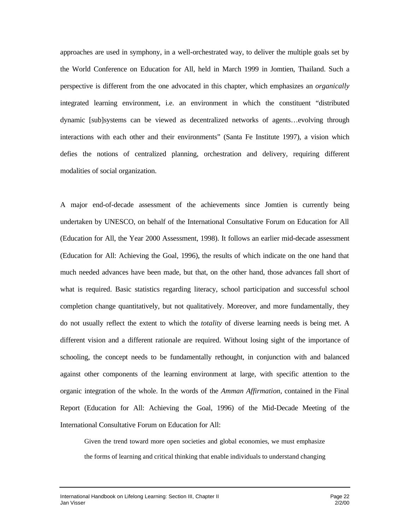approaches are used in symphony, in a well-orchestrated way, to deliver the multiple goals set by the World Conference on Education for All, held in March 1999 in Jomtien, Thailand. Such a perspective is different from the one advocated in this chapter, which emphasizes an *organically* integrated learning environment, i.e. an environment in which the constituent "distributed dynamic [sub]systems can be viewed as decentralized networks of agents…evolving through interactions with each other and their environments" (Santa Fe Institute 1997), a vision which defies the notions of centralized planning, orchestration and delivery, requiring different modalities of social organization.

A major end-of-decade assessment of the achievements since Jomtien is currently being undertaken by UNESCO, on behalf of the International Consultative Forum on Education for All (Education for All, the Year 2000 Assessment, 1998). It follows an earlier mid-decade assessment (Education for All: Achieving the Goal, 1996), the results of which indicate on the one hand that much needed advances have been made, but that, on the other hand, those advances fall short of what is required. Basic statistics regarding literacy, school participation and successful school completion change quantitatively, but not qualitatively. Moreover, and more fundamentally, they do not usually reflect the extent to which the *totality* of diverse learning needs is being met. A different vision and a different rationale are required. Without losing sight of the importance of schooling, the concept needs to be fundamentally rethought, in conjunction with and balanced against other components of the learning environment at large, with specific attention to the organic integration of the whole. In the words of the *Amman Affirmation*, contained in the Final Report (Education for All: Achieving the Goal, 1996) of the Mid-Decade Meeting of the International Consultative Forum on Education for All:

Given the trend toward more open societies and global economies, we must emphasize the forms of learning and critical thinking that enable individuals to understand changing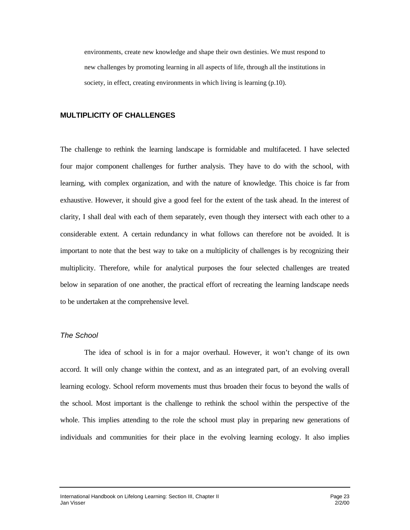environments, create new knowledge and shape their own destinies. We must respond to new challenges by promoting learning in all aspects of life, through all the institutions in society, in effect, creating environments in which living is learning (p.10).

## **MULTIPLICITY OF CHALLENGES**

The challenge to rethink the learning landscape is formidable and multifaceted. I have selected four major component challenges for further analysis. They have to do with the school, with learning, with complex organization, and with the nature of knowledge. This choice is far from exhaustive. However, it should give a good feel for the extent of the task ahead. In the interest of clarity, I shall deal with each of them separately, even though they intersect with each other to a considerable extent. A certain redundancy in what follows can therefore not be avoided. It is important to note that the best way to take on a multiplicity of challenges is by recognizing their multiplicity. Therefore, while for analytical purposes the four selected challenges are treated below in separation of one another, the practical effort of recreating the learning landscape needs to be undertaken at the comprehensive level.

## *The School*

The idea of school is in for a major overhaul. However, it won't change of its own accord. It will only change within the context, and as an integrated part, of an evolving overall learning ecology. School reform movements must thus broaden their focus to beyond the walls of the school. Most important is the challenge to rethink the school within the perspective of the whole. This implies attending to the role the school must play in preparing new generations of individuals and communities for their place in the evolving learning ecology. It also implies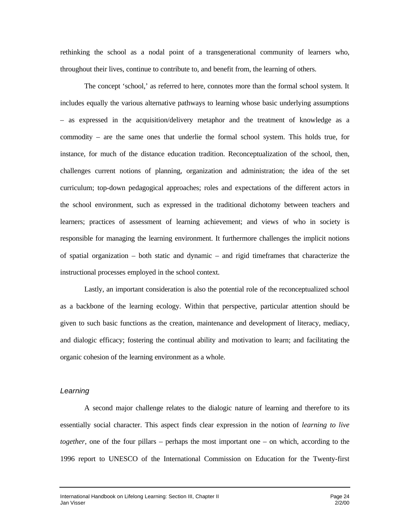rethinking the school as a nodal point of a transgenerational community of learners who, throughout their lives, continue to contribute to, and benefit from, the learning of others.

The concept 'school,' as referred to here, connotes more than the formal school system. It includes equally the various alternative pathways to learning whose basic underlying assumptions – as expressed in the acquisition/delivery metaphor and the treatment of knowledge as a commodity – are the same ones that underlie the formal school system. This holds true, for instance, for much of the distance education tradition. Reconceptualization of the school, then, challenges current notions of planning, organization and administration; the idea of the set curriculum; top-down pedagogical approaches; roles and expectations of the different actors in the school environment, such as expressed in the traditional dichotomy between teachers and learners; practices of assessment of learning achievement; and views of who in society is responsible for managing the learning environment. It furthermore challenges the implicit notions of spatial organization – both static and dynamic – and rigid timeframes that characterize the instructional processes employed in the school context.

Lastly, an important consideration is also the potential role of the reconceptualized school as a backbone of the learning ecology. Within that perspective, particular attention should be given to such basic functions as the creation, maintenance and development of literacy, mediacy, and dialogic efficacy; fostering the continual ability and motivation to learn; and facilitating the organic cohesion of the learning environment as a whole.

#### *Learning*

A second major challenge relates to the dialogic nature of learning and therefore to its essentially social character. This aspect finds clear expression in the notion of *learning to live together*, one of the four pillars – perhaps the most important one – on which, according to the 1996 report to UNESCO of the International Commission on Education for the Twenty-first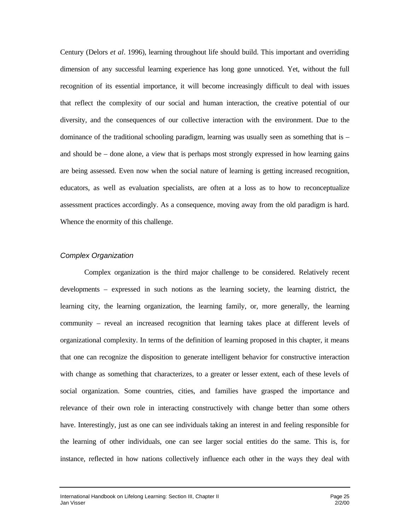Century (Delors *et al*. 1996), learning throughout life should build. This important and overriding dimension of any successful learning experience has long gone unnoticed. Yet, without the full recognition of its essential importance, it will become increasingly difficult to deal with issues that reflect the complexity of our social and human interaction, the creative potential of our diversity, and the consequences of our collective interaction with the environment. Due to the dominance of the traditional schooling paradigm, learning was usually seen as something that is  $$ and should be – done alone, a view that is perhaps most strongly expressed in how learning gains are being assessed. Even now when the social nature of learning is getting increased recognition, educators, as well as evaluation specialists, are often at a loss as to how to reconceptualize assessment practices accordingly. As a consequence, moving away from the old paradigm is hard. Whence the enormity of this challenge.

## *Complex Organization*

Complex organization is the third major challenge to be considered. Relatively recent developments – expressed in such notions as the learning society, the learning district, the learning city, the learning organization, the learning family, or, more generally, the learning community – reveal an increased recognition that learning takes place at different levels of organizational complexity. In terms of the definition of learning proposed in this chapter, it means that one can recognize the disposition to generate intelligent behavior for constructive interaction with change as something that characterizes, to a greater or lesser extent, each of these levels of social organization. Some countries, cities, and families have grasped the importance and relevance of their own role in interacting constructively with change better than some others have. Interestingly, just as one can see individuals taking an interest in and feeling responsible for the learning of other individuals, one can see larger social entities do the same. This is, for instance, reflected in how nations collectively influence each other in the ways they deal with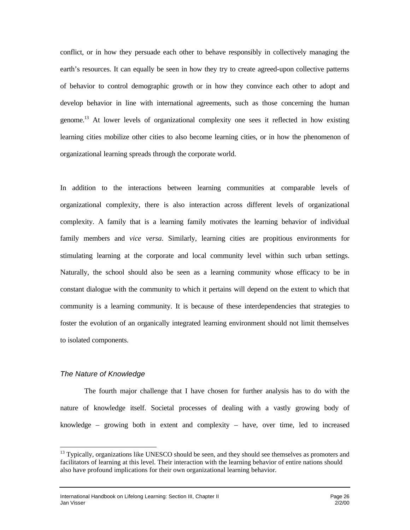conflict, or in how they persuade each other to behave responsibly in collectively managing the earth's resources. It can equally be seen in how they try to create agreed-upon collective patterns of behavior to control demographic growth or in how they convince each other to adopt and develop behavior in line with international agreements, such as those concerning the human genome.<sup>13</sup> At lower levels of organizational complexity one sees it reflected in how existing learning cities mobilize other cities to also become learning cities, or in how the phenomenon of organizational learning spreads through the corporate world.

In addition to the interactions between learning communities at comparable levels of organizational complexity, there is also interaction across different levels of organizational complexity. A family that is a learning family motivates the learning behavior of individual family members and *vice versa*. Similarly, learning cities are propitious environments for stimulating learning at the corporate and local community level within such urban settings. Naturally, the school should also be seen as a learning community whose efficacy to be in constant dialogue with the community to which it pertains will depend on the extent to which that community is a learning community. It is because of these interdependencies that strategies to foster the evolution of an organically integrated learning environment should not limit themselves to isolated components.

## *The Nature of Knowledge*

The fourth major challenge that I have chosen for further analysis has to do with the nature of knowledge itself. Societal processes of dealing with a vastly growing body of knowledge – growing both in extent and complexity – have, over time, led to increased

<sup>&</sup>lt;u>.</u> <sup>13</sup> Typically, organizations like UNESCO should be seen, and they should see themselves as promoters and facilitators of learning at this level. Their interaction with the learning behavior of entire nations should also have profound implications for their own organizational learning behavior.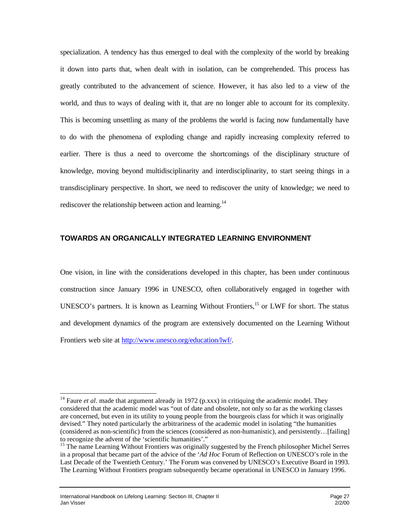specialization. A tendency has thus emerged to deal with the complexity of the world by breaking it down into parts that, when dealt with in isolation, can be comprehended. This process has greatly contributed to the advancement of science. However, it has also led to a view of the world, and thus to ways of dealing with it, that are no longer able to account for its complexity. This is becoming unsettling as many of the problems the world is facing now fundamentally have to do with the phenomena of exploding change and rapidly increasing complexity referred to earlier. There is thus a need to overcome the shortcomings of the disciplinary structure of knowledge, moving beyond multidisciplinarity and interdisciplinarity, to start seeing things in a transdisciplinary perspective. In short, we need to rediscover the unity of knowledge; we need to rediscover the relationship between action and learning.<sup>14</sup>

## **TOWARDS AN ORGANICALLY INTEGRATED LEARNING ENVIRONMENT**

One vision, in line with the considerations developed in this chapter, has been under continuous construction since January 1996 in UNESCO, often collaboratively engaged in together with UNESCO's partners. It is known as Learning Without Frontiers,<sup>15</sup> or LWF for short. The status and development dynamics of the program are extensively documented on the Learning Without Frontiers web site at http://www.unesco.org/education/lwf/.

 $\overline{a}$ <sup>14</sup> Faure *et al*. made that argument already in 1972 (p.xxx) in critiquing the academic model. They considered that the academic model was "out of date and obsolete, not only so far as the working classes are concerned, but even in its utility to young people from the bourgeois class for which it was originally devised." They noted particularly the arbitrariness of the academic model in isolating "the humanities (considered as non-scientific) from the sciences (considered as non-humanistic), and persistently…[failing] to recognize the advent of the 'scientific humanities'."

<sup>&</sup>lt;sup>15</sup> The name Learning Without Frontiers was originally suggested by the French philosopher Michel Serres in a proposal that became part of the advice of the '*Ad Hoc* Forum of Reflection on UNESCO's role in the Last Decade of the Twentieth Century.' The Forum was convened by UNESCO's Executive Board in 1993. The Learning Without Frontiers program subsequently became operational in UNESCO in January 1996.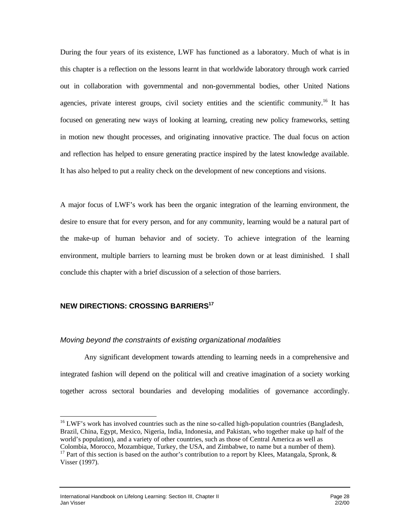During the four years of its existence, LWF has functioned as a laboratory. Much of what is in this chapter is a reflection on the lessons learnt in that worldwide laboratory through work carried out in collaboration with governmental and non-governmental bodies, other United Nations agencies, private interest groups, civil society entities and the scientific community.<sup>16</sup> It has focused on generating new ways of looking at learning, creating new policy frameworks, setting in motion new thought processes, and originating innovative practice. The dual focus on action and reflection has helped to ensure generating practice inspired by the latest knowledge available. It has also helped to put a reality check on the development of new conceptions and visions.

A major focus of LWF's work has been the organic integration of the learning environment, the desire to ensure that for every person, and for any community, learning would be a natural part of the make-up of human behavior and of society. To achieve integration of the learning environment, multiple barriers to learning must be broken down or at least diminished. I shall conclude this chapter with a brief discussion of a selection of those barriers.

## **NEW DIRECTIONS: CROSSING BARRIERS<sup>17</sup>**

## *Moving beyond the constraints of existing organizational modalities*

Any significant development towards attending to learning needs in a comprehensive and integrated fashion will depend on the political will and creative imagination of a society working together across sectoral boundaries and developing modalities of governance accordingly.

 $16$  LWF's work has involved countries such as the nine so-called high-population countries (Bangladesh, Brazil, China, Egypt, Mexico, Nigeria, India, Indonesia, and Pakistan, who together make up half of the world's population), and a variety of other countries, such as those of Central America as well as Colombia, Morocco, Mozambique, Turkey, the USA, and Zimbabwe, to name but a number of them). <sup>17</sup> Part of this section is based on the author's contribution to a report by Klees, Matangala, Spronk, & Visser (1997).

 $\overline{a}$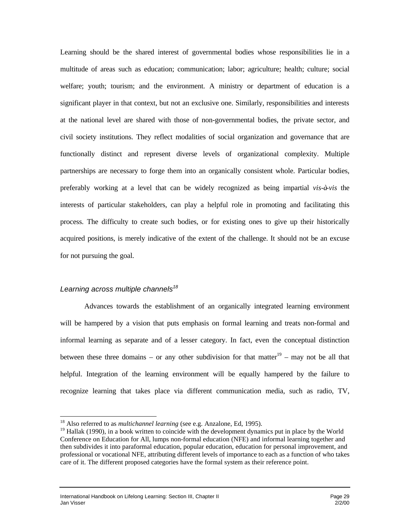Learning should be the shared interest of governmental bodies whose responsibilities lie in a multitude of areas such as education; communication; labor; agriculture; health; culture; social welfare; youth; tourism; and the environment. A ministry or department of education is a significant player in that context, but not an exclusive one. Similarly, responsibilities and interests at the national level are shared with those of non-governmental bodies, the private sector, and civil society institutions. They reflect modalities of social organization and governance that are functionally distinct and represent diverse levels of organizational complexity. Multiple partnerships are necessary to forge them into an organically consistent whole. Particular bodies, preferably working at a level that can be widely recognized as being impartial *vis-à-vis* the interests of particular stakeholders, can play a helpful role in promoting and facilitating this process. The difficulty to create such bodies, or for existing ones to give up their historically acquired positions, is merely indicative of the extent of the challenge. It should not be an excuse for not pursuing the goal.

## *Learning across multiple channels<sup>18</sup>*

 $\overline{a}$ 

Advances towards the establishment of an organically integrated learning environment will be hampered by a vision that puts emphasis on formal learning and treats non-formal and informal learning as separate and of a lesser category. In fact, even the conceptual distinction between these three domains – or any other subdivision for that matter<sup>19</sup> – may not be all that helpful. Integration of the learning environment will be equally hampered by the failure to recognize learning that takes place via different communication media, such as radio, TV,

<sup>&</sup>lt;sup>18</sup> Also referred to as *multichannel learning* (see e.g. Anzalone, Ed, 1995).

<sup>&</sup>lt;sup>19</sup> Hallak (1990), in a book written to coincide with the development dynamics put in place by the World Conference on Education for All, lumps non-formal education (NFE) and informal learning together and then subdivides it into paraformal education, popular education, education for personal improvement, and professional or vocational NFE, attributing different levels of importance to each as a function of who takes care of it. The different proposed categories have the formal system as their reference point.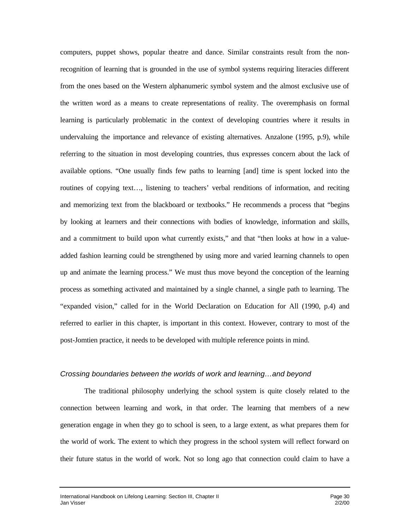computers, puppet shows, popular theatre and dance. Similar constraints result from the nonrecognition of learning that is grounded in the use of symbol systems requiring literacies different from the ones based on the Western alphanumeric symbol system and the almost exclusive use of the written word as a means to create representations of reality. The overemphasis on formal learning is particularly problematic in the context of developing countries where it results in undervaluing the importance and relevance of existing alternatives. Anzalone (1995, p.9), while referring to the situation in most developing countries, thus expresses concern about the lack of available options. "One usually finds few paths to learning [and] time is spent locked into the routines of copying text…, listening to teachers' verbal renditions of information, and reciting and memorizing text from the blackboard or textbooks." He recommends a process that "begins by looking at learners and their connections with bodies of knowledge, information and skills, and a commitment to build upon what currently exists," and that "then looks at how in a valueadded fashion learning could be strengthened by using more and varied learning channels to open up and animate the learning process." We must thus move beyond the conception of the learning process as something activated and maintained by a single channel, a single path to learning. The "expanded vision," called for in the World Declaration on Education for All (1990, p.4) and referred to earlier in this chapter, is important in this context. However, contrary to most of the post-Jomtien practice, it needs to be developed with multiple reference points in mind.

## *Crossing boundaries between the worlds of work and learning…and beyond*

The traditional philosophy underlying the school system is quite closely related to the connection between learning and work, in that order. The learning that members of a new generation engage in when they go to school is seen, to a large extent, as what prepares them for the world of work. The extent to which they progress in the school system will reflect forward on their future status in the world of work. Not so long ago that connection could claim to have a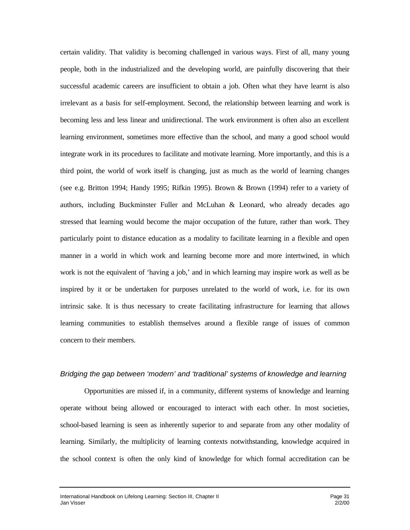certain validity. That validity is becoming challenged in various ways. First of all, many young people, both in the industrialized and the developing world, are painfully discovering that their successful academic careers are insufficient to obtain a job. Often what they have learnt is also irrelevant as a basis for self-employment. Second, the relationship between learning and work is becoming less and less linear and unidirectional. The work environment is often also an excellent learning environment, sometimes more effective than the school, and many a good school would integrate work in its procedures to facilitate and motivate learning. More importantly, and this is a third point, the world of work itself is changing, just as much as the world of learning changes (see e.g. Britton 1994; Handy 1995; Rifkin 1995). Brown & Brown (1994) refer to a variety of authors, including Buckminster Fuller and McLuhan & Leonard, who already decades ago stressed that learning would become the major occupation of the future, rather than work. They particularly point to distance education as a modality to facilitate learning in a flexible and open manner in a world in which work and learning become more and more intertwined, in which work is not the equivalent of 'having a job,' and in which learning may inspire work as well as be inspired by it or be undertaken for purposes unrelated to the world of work, i.e. for its own intrinsic sake. It is thus necessary to create facilitating infrastructure for learning that allows learning communities to establish themselves around a flexible range of issues of common concern to their members.

## *Bridging the gap between 'modern' and 'traditional' systems of knowledge and learning*

Opportunities are missed if, in a community, different systems of knowledge and learning operate without being allowed or encouraged to interact with each other. In most societies, school-based learning is seen as inherently superior to and separate from any other modality of learning. Similarly, the multiplicity of learning contexts notwithstanding, knowledge acquired in the school context is often the only kind of knowledge for which formal accreditation can be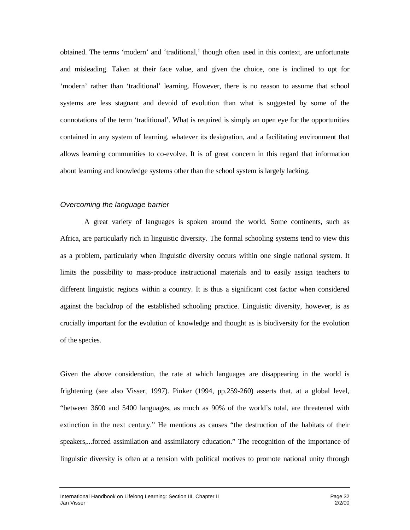obtained. The terms 'modern' and 'traditional,' though often used in this context, are unfortunate and misleading. Taken at their face value, and given the choice, one is inclined to opt for 'modern' rather than 'traditional' learning. However, there is no reason to assume that school systems are less stagnant and devoid of evolution than what is suggested by some of the connotations of the term 'traditional'. What is required is simply an open eye for the opportunities contained in any system of learning, whatever its designation, and a facilitating environment that allows learning communities to co-evolve. It is of great concern in this regard that information about learning and knowledge systems other than the school system is largely lacking.

## *Overcoming the language barrier*

A great variety of languages is spoken around the world. Some continents, such as Africa, are particularly rich in linguistic diversity. The formal schooling systems tend to view this as a problem, particularly when linguistic diversity occurs within one single national system. It limits the possibility to mass-produce instructional materials and to easily assign teachers to different linguistic regions within a country. It is thus a significant cost factor when considered against the backdrop of the established schooling practice. Linguistic diversity, however, is as crucially important for the evolution of knowledge and thought as is biodiversity for the evolution of the species.

Given the above consideration, the rate at which languages are disappearing in the world is frightening (see also Visser, 1997). Pinker (1994, pp.259-260) asserts that, at a global level, "between 3600 and 5400 languages, as much as 90% of the world's total, are threatened with extinction in the next century." He mentions as causes "the destruction of the habitats of their speakers,...forced assimilation and assimilatory education." The recognition of the importance of linguistic diversity is often at a tension with political motives to promote national unity through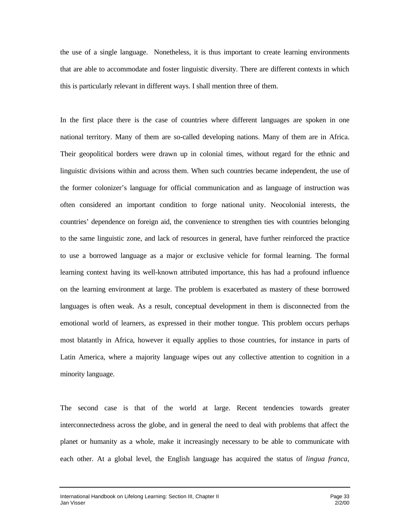the use of a single language. Nonetheless, it is thus important to create learning environments that are able to accommodate and foster linguistic diversity. There are different contexts in which this is particularly relevant in different ways. I shall mention three of them.

In the first place there is the case of countries where different languages are spoken in one national territory. Many of them are so-called developing nations. Many of them are in Africa. Their geopolitical borders were drawn up in colonial times, without regard for the ethnic and linguistic divisions within and across them. When such countries became independent, the use of the former colonizer's language for official communication and as language of instruction was often considered an important condition to forge national unity. Neocolonial interests, the countries' dependence on foreign aid, the convenience to strengthen ties with countries belonging to the same linguistic zone, and lack of resources in general, have further reinforced the practice to use a borrowed language as a major or exclusive vehicle for formal learning. The formal learning context having its well-known attributed importance, this has had a profound influence on the learning environment at large. The problem is exacerbated as mastery of these borrowed languages is often weak. As a result, conceptual development in them is disconnected from the emotional world of learners, as expressed in their mother tongue. This problem occurs perhaps most blatantly in Africa, however it equally applies to those countries, for instance in parts of Latin America, where a majority language wipes out any collective attention to cognition in a minority language.

The second case is that of the world at large. Recent tendencies towards greater interconnectedness across the globe, and in general the need to deal with problems that affect the planet or humanity as a whole, make it increasingly necessary to be able to communicate with each other. At a global level, the English language has acquired the status of *lingua franca*,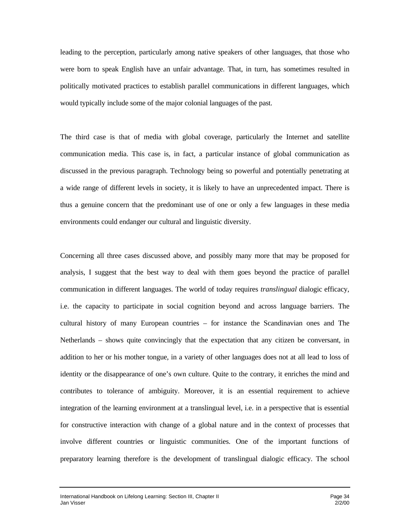leading to the perception, particularly among native speakers of other languages, that those who were born to speak English have an unfair advantage. That, in turn, has sometimes resulted in politically motivated practices to establish parallel communications in different languages, which would typically include some of the major colonial languages of the past.

The third case is that of media with global coverage, particularly the Internet and satellite communication media. This case is, in fact, a particular instance of global communication as discussed in the previous paragraph. Technology being so powerful and potentially penetrating at a wide range of different levels in society, it is likely to have an unprecedented impact. There is thus a genuine concern that the predominant use of one or only a few languages in these media environments could endanger our cultural and linguistic diversity.

Concerning all three cases discussed above, and possibly many more that may be proposed for analysis, I suggest that the best way to deal with them goes beyond the practice of parallel communication in different languages. The world of today requires *translingual* dialogic efficacy, i.e. the capacity to participate in social cognition beyond and across language barriers. The cultural history of many European countries – for instance the Scandinavian ones and The Netherlands – shows quite convincingly that the expectation that any citizen be conversant, in addition to her or his mother tongue, in a variety of other languages does not at all lead to loss of identity or the disappearance of one's own culture. Quite to the contrary, it enriches the mind and contributes to tolerance of ambiguity. Moreover, it is an essential requirement to achieve integration of the learning environment at a translingual level, i.e. in a perspective that is essential for constructive interaction with change of a global nature and in the context of processes that involve different countries or linguistic communities. One of the important functions of preparatory learning therefore is the development of translingual dialogic efficacy. The school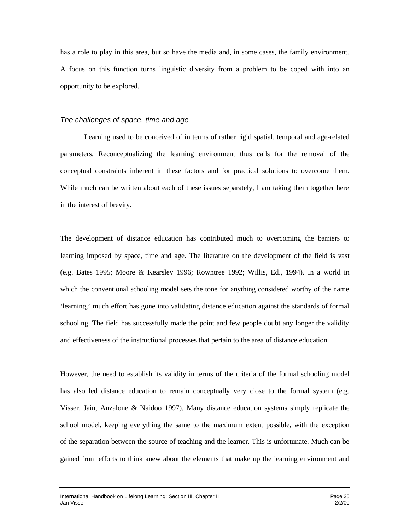has a role to play in this area, but so have the media and, in some cases, the family environment. A focus on this function turns linguistic diversity from a problem to be coped with into an opportunity to be explored.

#### *The challenges of space, time and age*

Learning used to be conceived of in terms of rather rigid spatial, temporal and age-related parameters. Reconceptualizing the learning environment thus calls for the removal of the conceptual constraints inherent in these factors and for practical solutions to overcome them. While much can be written about each of these issues separately, I am taking them together here in the interest of brevity.

The development of distance education has contributed much to overcoming the barriers to learning imposed by space, time and age. The literature on the development of the field is vast (e.g. Bates 1995; Moore & Kearsley 1996; Rowntree 1992; Willis, Ed., 1994). In a world in which the conventional schooling model sets the tone for anything considered worthy of the name 'learning,' much effort has gone into validating distance education against the standards of formal schooling. The field has successfully made the point and few people doubt any longer the validity and effectiveness of the instructional processes that pertain to the area of distance education.

However, the need to establish its validity in terms of the criteria of the formal schooling model has also led distance education to remain conceptually very close to the formal system (e.g. Visser, Jain, Anzalone & Naidoo 1997). Many distance education systems simply replicate the school model, keeping everything the same to the maximum extent possible, with the exception of the separation between the source of teaching and the learner. This is unfortunate. Much can be gained from efforts to think anew about the elements that make up the learning environment and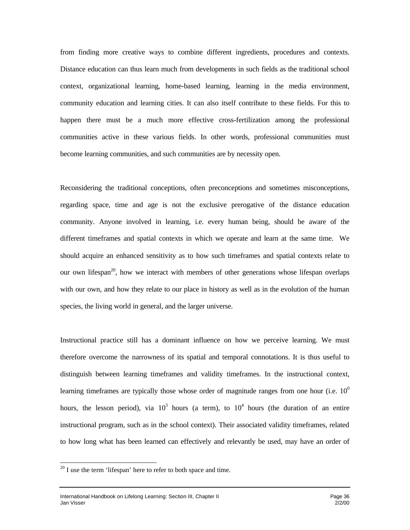from finding more creative ways to combine different ingredients, procedures and contexts. Distance education can thus learn much from developments in such fields as the traditional school context, organizational learning, home-based learning, learning in the media environment, community education and learning cities. It can also itself contribute to these fields. For this to happen there must be a much more effective cross-fertilization among the professional communities active in these various fields. In other words, professional communities must become learning communities, and such communities are by necessity open.

Reconsidering the traditional conceptions, often preconceptions and sometimes misconceptions, regarding space, time and age is not the exclusive prerogative of the distance education community. Anyone involved in learning, i.e. every human being, should be aware of the different timeframes and spatial contexts in which we operate and learn at the same time. We should acquire an enhanced sensitivity as to how such timeframes and spatial contexts relate to our own lifespan<sup>20</sup>, how we interact with members of other generations whose lifespan overlaps with our own, and how they relate to our place in history as well as in the evolution of the human species, the living world in general, and the larger universe.

Instructional practice still has a dominant influence on how we perceive learning. We must therefore overcome the narrowness of its spatial and temporal connotations. It is thus useful to distinguish between learning timeframes and validity timeframes. In the instructional context, learning timeframes are typically those whose order of magnitude ranges from one hour (i.e.  $10<sup>0</sup>$ hours, the lesson period), via  $10^3$  hours (a term), to  $10^4$  hours (the duration of an entire instructional program, such as in the school context). Their associated validity timeframes, related to how long what has been learned can effectively and relevantly be used, may have an order of

 $\overline{a}$ 

 $^{20}$  I use the term 'lifespan' here to refer to both space and time.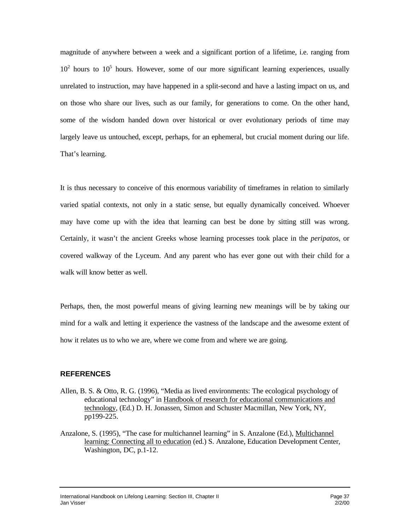magnitude of anywhere between a week and a significant portion of a lifetime, i.e. ranging from  $10<sup>2</sup>$  hours to  $10<sup>5</sup>$  hours. However, some of our more significant learning experiences, usually unrelated to instruction, may have happened in a split-second and have a lasting impact on us, and on those who share our lives, such as our family, for generations to come. On the other hand, some of the wisdom handed down over historical or over evolutionary periods of time may largely leave us untouched, except, perhaps, for an ephemeral, but crucial moment during our life. That's learning.

It is thus necessary to conceive of this enormous variability of timeframes in relation to similarly varied spatial contexts, not only in a static sense, but equally dynamically conceived. Whoever may have come up with the idea that learning can best be done by sitting still was wrong. Certainly, it wasn't the ancient Greeks whose learning processes took place in the *peripatos*, or covered walkway of the Lyceum. And any parent who has ever gone out with their child for a walk will know better as well.

Perhaps, then, the most powerful means of giving learning new meanings will be by taking our mind for a walk and letting it experience the vastness of the landscape and the awesome extent of how it relates us to who we are, where we come from and where we are going.

## **REFERENCES**

- Allen, B. S. & Otto, R. G. (1996), "Media as lived environments: The ecological psychology of educational technology" in Handbook of research for educational communications and technology, (Ed.) D. H. Jonassen, Simon and Schuster Macmillan, New York, NY, pp199-225.
- Anzalone, S. (1995), "The case for multichannel learning" in S. Anzalone (Ed.), Multichannel learning: Connecting all to education (ed.) S. Anzalone, Education Development Center, Washington, DC, p.1-12.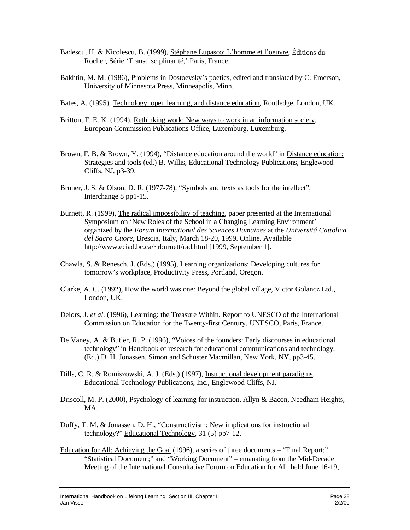- Badescu, H. & Nicolescu, B. (1999), Stéphane Lupasco: L'homme et l'oeuvre, Éditions du Rocher, Série 'Transdisciplinarité,' Paris, France.
- Bakhtin, M. M. (1986), Problems in Dostoevsky's poetics, edited and translated by C. Emerson, University of Minnesota Press, Minneapolis, Minn.
- Bates, A. (1995), Technology, open learning, and distance education, Routledge, London, UK.
- Britton, F. E. K. (1994), Rethinking work: New ways to work in an information society, European Commission Publications Office, Luxemburg, Luxemburg.
- Brown, F. B. & Brown, Y. (1994), "Distance education around the world" in Distance education: Strategies and tools (ed.) B. Willis, Educational Technology Publications, Englewood Cliffs, NJ, p3-39.
- Bruner, J. S. & Olson, D. R. (1977-78), "Symbols and texts as tools for the intellect", Interchange 8 pp1-15.
- Burnett, R. (1999), The radical impossibility of teaching, paper presented at the International Symposium on 'New Roles of the School in a Changing Learning Environment' organized by the *Forum International des Sciences Humaines* at the *Universitá Cattolica del Sacro Cuore*, Brescia, Italy, March 18-20, 1999. Online. Available http://www.eciad.bc.ca/~rburnett/rad.html [1999, September 1].
- Chawla, S. & Renesch, J. (Eds.) (1995), Learning organizations: Developing cultures for tomorrow's workplace, Productivity Press, Portland, Oregon.
- Clarke, A. C. (1992), How the world was one: Beyond the global village, Victor Golancz Ltd., London, UK.
- Delors, J. *et al*. (1996), Learning: the Treasure Within. Report to UNESCO of the International Commission on Education for the Twenty-first Century, UNESCO, Paris, France.
- De Vaney, A. & Butler, R. P. (1996), "Voices of the founders: Early discourses in educational technology" in Handbook of research for educational communications and technology, (Ed.) D. H. Jonassen, Simon and Schuster Macmillan, New York, NY, pp3-45.
- Dills, C. R. & Romiszowski, A. J. (Eds.) (1997), Instructional development paradigms, Educational Technology Publications, Inc., Englewood Cliffs, NJ.
- Driscoll, M. P. (2000), Psychology of learning for instruction, Allyn & Bacon, Needham Heights, MA.
- Duffy, T. M. & Jonassen, D. H., "Constructivism: New implications for instructional technology?" Educational Technology, 31 (5) pp7-12.
- Education for All: Achieving the Goal (1996), a series of three documents "Final Report;" "Statistical Document;" and "Working Document" – emanating from the Mid-Decade Meeting of the International Consultative Forum on Education for All, held June 16-19,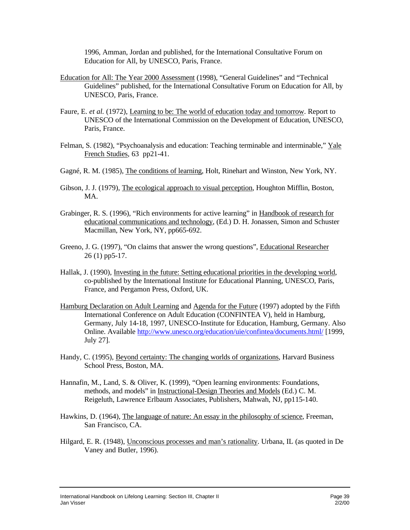1996, Amman, Jordan and published, for the International Consultative Forum on Education for All, by UNESCO, Paris, France.

- Education for All: The Year 2000 Assessment (1998), "General Guidelines" and "Technical Guidelines" published, for the International Consultative Forum on Education for All, by UNESCO, Paris, France.
- Faure, E. *et al.* (1972), Learning to be: The world of education today and tomorrow. Report to UNESCO of the International Commission on the Development of Education, UNESCO, Paris, France.
- Felman, S. (1982), "Psychoanalysis and education: Teaching terminable and interminable," Yale French Studies*,* 63 pp21-41.
- Gagné, R. M. (1985), The conditions of learning, Holt, Rinehart and Winston, New York, NY.
- Gibson, J. J. (1979), The ecological approach to visual perception, Houghton Mifflin, Boston, MA.
- Grabinger, R. S. (1996), "Rich environments for active learning" in Handbook of research for educational communications and technology, (Ed.) D. H. Jonassen, Simon and Schuster Macmillan, New York, NY, pp665-692.
- Greeno, J. G. (1997), "On claims that answer the wrong questions", Educational Researcher 26 (1) pp5-17.
- Hallak, J. (1990), Investing in the future: Setting educational priorities in the developing world, co-published by the International Institute for Educational Planning, UNESCO, Paris, France, and Pergamon Press, Oxford, UK.
- Hamburg Declaration on Adult Learning and Agenda for the Future (1997) adopted by the Fifth International Conference on Adult Education (CONFINTEA V), held in Hamburg, Germany, July 14-18, 1997, UNESCO-Institute for Education, Hamburg, Germany. Also Online. Available http://www.unesco.org/education/uie/confintea/documents.html/ [1999, July 27].
- Handy, C. (1995), Beyond certainty: The changing worlds of organizations, Harvard Business School Press, Boston, MA.
- Hannafin, M., Land, S. & Oliver, K. (1999), "Open learning environments: Foundations, methods, and models" in Instructional-Design Theories and Models (Ed.) C. M. Reigeluth, Lawrence Erlbaum Associates, Publishers, Mahwah, NJ, pp115-140.
- Hawkins, D. (1964), The language of nature: An essay in the philosophy of science, Freeman, San Francisco, CA.
- Hilgard, E. R. (1948), Unconscious processes and man's rationality. Urbana, IL (as quoted in De Vaney and Butler, 1996).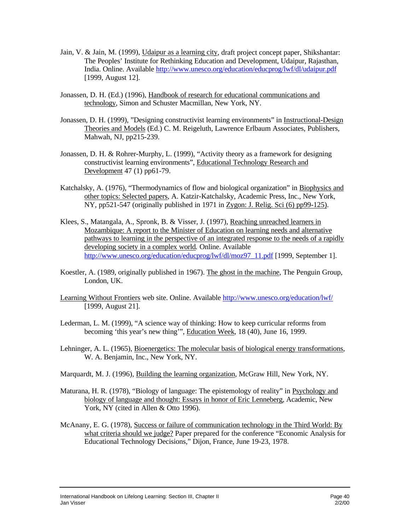- Jain, V. & Jain, M. (1999), Udaipur as a learning city, draft project concept paper, Shikshantar: The Peoples' Institute for Rethinking Education and Development, Udaipur, Rajasthan, India. Online. Available http://www.unesco.org/education/educprog/lwf/dl/udaipur.pdf [1999, August 12].
- Jonassen, D. H. (Ed.) (1996), Handbook of research for educational communications and technology, Simon and Schuster Macmillan, New York, NY.
- Jonassen, D. H. (1999), "Designing constructivist learning environments" in Instructional-Design Theories and Models (Ed.) C. M. Reigeluth, Lawrence Erlbaum Associates, Publishers, Mahwah, NJ, pp215-239.
- Jonassen, D. H. & Rohrer-Murphy, L. (1999), "Activity theory as a framework for designing constructivist learning environments", Educational Technology Research and Development 47 (1) pp61-79.
- Katchalsky, A. (1976), "Thermodynamics of flow and biological organization" in Biophysics and other topics: Selected papers, A. Katzir-Katchalsky, Academic Press, Inc., New York, NY, pp521-547 (originally published in 1971 in Zygon: J. Relig. Sci (6) pp99-125).
- Klees, S., Matangala, A., Spronk, B. & Visser, J. (1997), Reaching unreached learners in Mozambique: A report to the Minister of Education on learning needs and alternative pathways to learning in the perspective of an integrated response to the needs of a rapidly developing society in a complex world*.* Online. Available http://www.unesco.org/education/educprog/lwf/dl/moz97\_11.pdf [1999, September 1].
- Koestler, A. (1989, originally published in 1967). The ghost in the machine, The Penguin Group, London, UK.
- Learning Without Frontiers web site. Online. Available http://www.unesco.org/education/lwf/ [1999, August 21].
- Lederman, L. M. (1999), "A science way of thinking: How to keep curricular reforms from becoming 'this year's new thing'", Education Week, 18 (40), June 16, 1999.
- Lehninger, A. L. (1965), Bioenergetics: The molecular basis of biological energy transformations, W. A. Benjamin, Inc., New York, NY.
- Marquardt, M. J. (1996), Building the learning organization, McGraw Hill, New York, NY.
- Maturana, H. R. (1978), "Biology of language: The epistemology of reality" in Psychology and biology of language and thought: Essays in honor of Eric Lenneberg, Academic, New York, NY (cited in Allen & Otto 1996).
- McAnany, E. G. (1978), Success or failure of communication technology in the Third World: By what criteria should we judge? Paper prepared for the conference "Economic Analysis for Educational Technology Decisions," Dijon, France, June 19-23, 1978.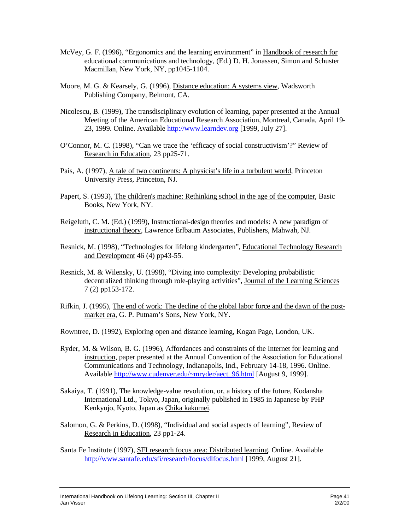- McVey, G. F. (1996), "Ergonomics and the learning environment" in Handbook of research for educational communications and technology, (Ed.) D. H. Jonassen, Simon and Schuster Macmillan, New York, NY, pp1045-1104.
- Moore, M. G. & Kearsely, G. (1996), Distance education: A systems view, Wadsworth Publishing Company, Belmont, CA.
- Nicolescu, B. (1999), The transdisciplinary evolution of learning, paper presented at the Annual Meeting of the American Educational Research Association, Montreal, Canada, April 19- 23, 1999. Online. Available http://www.learndev.org [1999, July 27].
- O'Connor, M. C. (1998), "Can we trace the 'efficacy of social constructivism'?" Review of Research in Education, 23 pp25-71.
- Pais, A. (1997), A tale of two continents: A physicist's life in a turbulent world, Princeton University Press, Princeton, NJ.
- Papert, S. (1993), The children's machine: Rethinking school in the age of the computer, Basic Books, New York, NY.
- Reigeluth, C. M. (Ed.) (1999), Instructional-design theories and models: A new paradigm of instructional theory, Lawrence Erlbaum Associates, Publishers, Mahwah, NJ.
- Resnick, M. (1998), "Technologies for lifelong kindergarten", Educational Technology Research and Development 46 (4) pp43-55.
- Resnick, M. & Wilensky, U. (1998), "Diving into complexity: Developing probabilistic decentralized thinking through role-playing activities", Journal of the Learning Sciences 7 (2) pp153-172.
- Rifkin, J. (1995), The end of work: The decline of the global labor force and the dawn of the postmarket era, G. P. Putnam's Sons, New York, NY.
- Rowntree, D. (1992), Exploring open and distance learning, Kogan Page, London, UK.
- Ryder, M. & Wilson, B. G. (1996), Affordances and constraints of the Internet for learning and instruction, paper presented at the Annual Convention of the Association for Educational Communications and Technology, Indianapolis, Ind., February 14-18, 1996. Online. Available http://www.cudenver.edu/~mryder/aect\_96.html [August 9, 1999].
- Sakaiya, T. (1991), The knowledge-value revolution, or, a history of the future, Kodansha International Ltd., Tokyo, Japan, originally published in 1985 in Japanese by PHP Kenkyujo, Kyoto, Japan as Chika kakumei.
- Salomon, G. & Perkins, D. (1998), "Individual and social aspects of learning", Review of Research in Education, 23 pp1-24.
- Santa Fe Institute (1997), SFI research focus area: Distributed learning. Online. Available http://www.santafe.edu/sfi/research/focus/dlfocus.html [1999, August 21].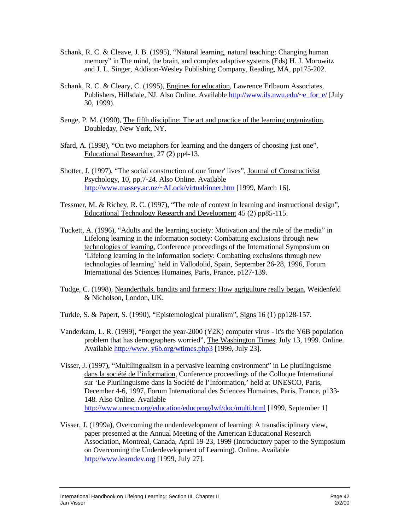- Schank, R. C. & Cleave, J. B. (1995), "Natural learning, natural teaching: Changing human memory" in The mind, the brain, and complex adaptive systems (Eds) H. J. Morowitz and J. L. Singer, Addison-Wesley Publishing Company, Reading, MA, pp175-202.
- Schank, R. C. & Cleary, C. (1995), Engines for education, Lawrence Erlbaum Associates, Publishers, Hillsdale, NJ. Also Online. Available http://www.ils.nwu.edu/~e\_for\_e/ [July 30, 1999).
- Senge, P. M. (1990), The fifth discipline: The art and practice of the learning organization, Doubleday, New York, NY.
- Sfard, A. (1998), "On two metaphors for learning and the dangers of choosing just one", Educational Researcher, 27 (2) pp4-13.
- Shotter, J. (1997), "The social construction of our 'inner' lives", Journal of Constructivist Psychology, 10, pp.7-24. Also Online. Available http://www.massey.ac.nz/~ALock/virtual/inner.htm [1999, March 16].
- Tessmer, M. & Richey, R. C. (1997), "The role of context in learning and instructional design", Educational Technology Research and Development 45 (2) pp85-115.
- Tuckett, A. (1996), "Adults and the learning society: Motivation and the role of the media" in Lifelong learning in the information society: Combatting exclusions through new technologies of learning, Conference proceedings of the International Symposium on 'Lifelong learning in the information society: Combatting exclusions through new technologies of learning' held in Vallodolid, Spain, September 26-28, 1996, Forum International des Sciences Humaines, Paris, France, p127-139.
- Tudge, C. (1998), Neanderthals, bandits and farmers: How agrigulture really began, Weidenfeld & Nicholson, London, UK.
- Turkle, S. & Papert, S. (1990), "Epistemological pluralism", Signs 16 (1) pp128-157.
- Vanderkam, L. R. (1999), "Forget the year-2000 (Y2K) computer virus it's the Y6B population problem that has demographers worried", The Washington Times, July 13, 1999. Online. Available http://www. y6b.org/wtimes.php3 [1999, July 23].
- Visser, J. (1997), "Multilingualism in a pervasive learning environment" in Le plutilinguisme dans la société de l'information, Conference proceedings of the Colloque International sur 'Le Plurilinguisme dans la Société de l'Information,' held at UNESCO, Paris, December 4-6, 1997, Forum International des Sciences Humaines, Paris, France, p133- 148. Also Online. Available http://www.unesco.org/education/educprog/lwf/doc/multi.html [1999, September 1]
- Visser, J. (1999a), Overcoming the underdevelopment of learning: A transdisciplinary view, paper presented at the Annual Meeting of the American Educational Research Association, Montreal, Canada, April 19-23, 1999 (Introductory paper to the Symposium on Overcoming the Underdevelopment of Learning). Online. Available http://www.learndev.org [1999, July 27].